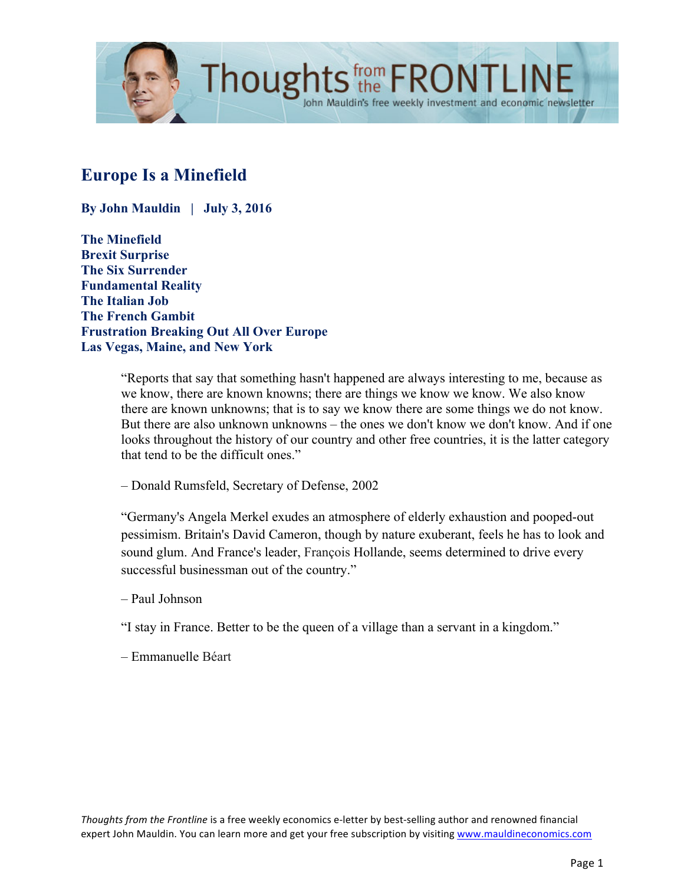

# **Europe Is a Minefield**

**By John Mauldin | July 3, 2016**

**The Minefield Brexit Surprise The Six Surrender Fundamental Reality The Italian Job The French Gambit Frustration Breaking Out All Over Europe Las Vegas, Maine, and New York**

> "Reports that say that something hasn't happened are always interesting to me, because as we know, there are known knowns; there are things we know we know. We also know there are known unknowns; that is to say we know there are some things we do not know. But there are also unknown unknowns – the ones we don't know we don't know. And if one looks throughout the history of our country and other free countries, it is the latter category that tend to be the difficult ones."

– Donald Rumsfeld, Secretary of Defense, 2002

"Germany's Angela Merkel exudes an atmosphere of elderly exhaustion and pooped-out pessimism. Britain's David Cameron, though by nature exuberant, feels he has to look and sound glum. And France's leader, François Hollande, seems determined to drive every successful businessman out of the country."

- Paul Johnson
- "I stay in France. Better to be the queen of a village than a servant in a kingdom."
- Emmanuelle Béart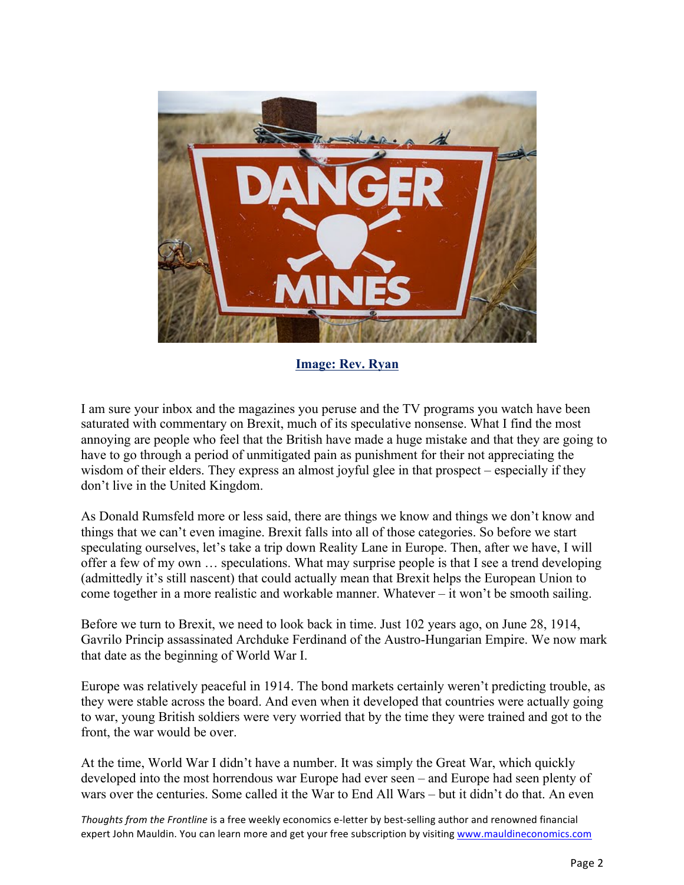

**[Image: Rev. Ryan](http://www.revryan.org/2013/08/18/sermon-minefield-ahead/)**

I am sure your inbox and the magazines you peruse and the TV programs you watch have been saturated with commentary on Brexit, much of its speculative nonsense. What I find the most annoying are people who feel that the British have made a huge mistake and that they are going to have to go through a period of unmitigated pain as punishment for their not appreciating the wisdom of their elders. They express an almost joyful glee in that prospect – especially if they don't live in the United Kingdom.

As Donald Rumsfeld more or less said, there are things we know and things we don't know and things that we can't even imagine. Brexit falls into all of those categories. So before we start speculating ourselves, let's take a trip down Reality Lane in Europe. Then, after we have, I will offer a few of my own … speculations. What may surprise people is that I see a trend developing (admittedly it's still nascent) that could actually mean that Brexit helps the European Union to come together in a more realistic and workable manner. Whatever – it won't be smooth sailing.

Before we turn to Brexit, we need to look back in time. Just 102 years ago, on June 28, 1914, Gavrilo Princip assassinated Archduke Ferdinand of the Austro-Hungarian Empire. We now mark that date as the beginning of World War I.

Europe was relatively peaceful in 1914. The bond markets certainly weren't predicting trouble, as they were stable across the board. And even when it developed that countries were actually going to war, young British soldiers were very worried that by the time they were trained and got to the front, the war would be over.

At the time, World War I didn't have a number. It was simply the Great War, which quickly developed into the most horrendous war Europe had ever seen – and Europe had seen plenty of wars over the centuries. Some called it the War to End All Wars – but it didn't do that. An even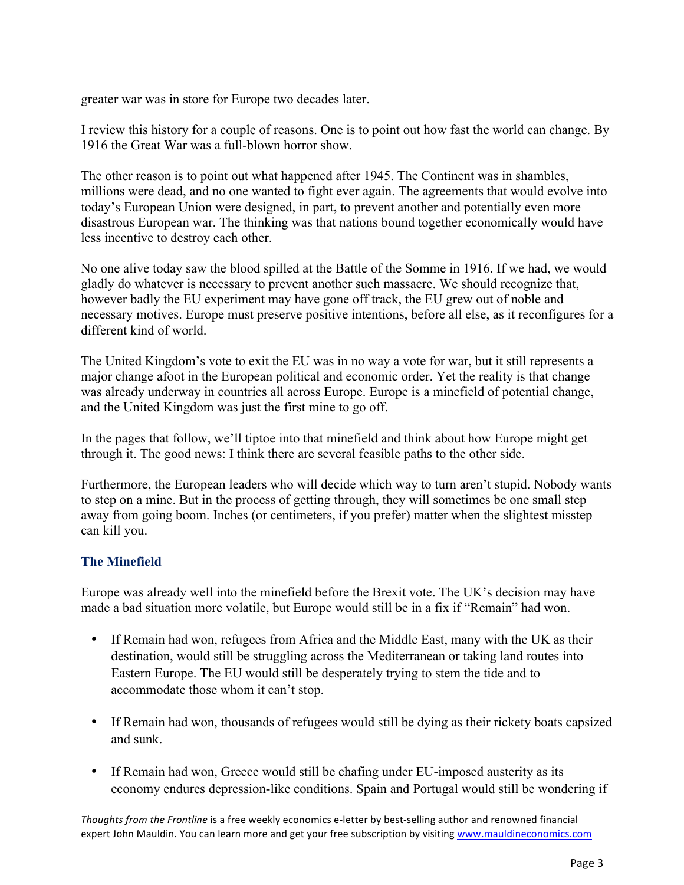greater war was in store for Europe two decades later.

I review this history for a couple of reasons. One is to point out how fast the world can change. By 1916 the Great War was a full-blown horror show.

The other reason is to point out what happened after 1945. The Continent was in shambles, millions were dead, and no one wanted to fight ever again. The agreements that would evolve into today's European Union were designed, in part, to prevent another and potentially even more disastrous European war. The thinking was that nations bound together economically would have less incentive to destroy each other.

No one alive today saw the blood spilled at the Battle of the Somme in 1916. If we had, we would gladly do whatever is necessary to prevent another such massacre. We should recognize that, however badly the EU experiment may have gone off track, the EU grew out of noble and necessary motives. Europe must preserve positive intentions, before all else, as it reconfigures for a different kind of world.

The United Kingdom's vote to exit the EU was in no way a vote for war, but it still represents a major change afoot in the European political and economic order. Yet the reality is that change was already underway in countries all across Europe. Europe is a minefield of potential change, and the United Kingdom was just the first mine to go off.

In the pages that follow, we'll tiptoe into that minefield and think about how Europe might get through it. The good news: I think there are several feasible paths to the other side.

Furthermore, the European leaders who will decide which way to turn aren't stupid. Nobody wants to step on a mine. But in the process of getting through, they will sometimes be one small step away from going boom. Inches (or centimeters, if you prefer) matter when the slightest misstep can kill you.

## **The Minefield**

Europe was already well into the minefield before the Brexit vote. The UK's decision may have made a bad situation more volatile, but Europe would still be in a fix if "Remain" had won.

- If Remain had won, refugees from Africa and the Middle East, many with the UK as their destination, would still be struggling across the Mediterranean or taking land routes into Eastern Europe. The EU would still be desperately trying to stem the tide and to accommodate those whom it can't stop.
- If Remain had won, thousands of refugees would still be dying as their rickety boats capsized and sunk.
- If Remain had won, Greece would still be chafing under EU-imposed austerity as its economy endures depression-like conditions. Spain and Portugal would still be wondering if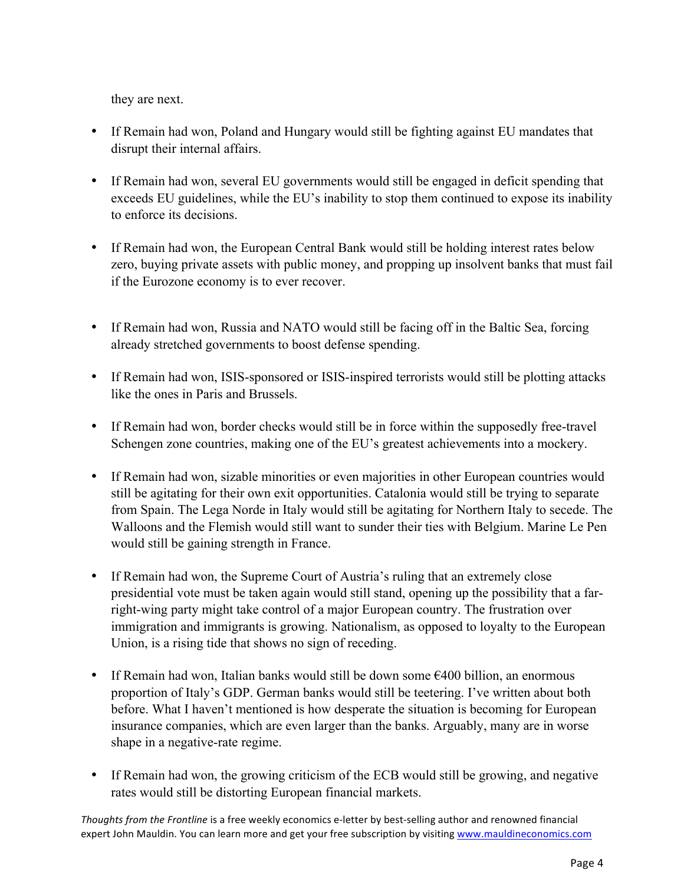they are next.

- If Remain had won, Poland and Hungary would still be fighting against EU mandates that disrupt their internal affairs.
- If Remain had won, several EU governments would still be engaged in deficit spending that exceeds EU guidelines, while the EU's inability to stop them continued to expose its inability to enforce its decisions.
- If Remain had won, the European Central Bank would still be holding interest rates below zero, buying private assets with public money, and propping up insolvent banks that must fail if the Eurozone economy is to ever recover.
- If Remain had won, Russia and NATO would still be facing off in the Baltic Sea, forcing already stretched governments to boost defense spending.
- If Remain had won, ISIS-sponsored or ISIS-inspired terrorists would still be plotting attacks like the ones in Paris and Brussels.
- If Remain had won, border checks would still be in force within the supposedly free-travel Schengen zone countries, making one of the EU's greatest achievements into a mockery.
- If Remain had won, sizable minorities or even majorities in other European countries would still be agitating for their own exit opportunities. Catalonia would still be trying to separate from Spain. The Lega Norde in Italy would still be agitating for Northern Italy to secede. The Walloons and the Flemish would still want to sunder their ties with Belgium. Marine Le Pen would still be gaining strength in France.
- If Remain had won, the Supreme Court of Austria's ruling that an extremely close presidential vote must be taken again would still stand, opening up the possibility that a farright-wing party might take control of a major European country. The frustration over immigration and immigrants is growing. Nationalism, as opposed to loyalty to the European Union, is a rising tide that shows no sign of receding.
- If Remain had won, Italian banks would still be down some  $\epsilon$ 400 billion, an enormous proportion of Italy's GDP. German banks would still be teetering. I've written about both before. What I haven't mentioned is how desperate the situation is becoming for European insurance companies, which are even larger than the banks. Arguably, many are in worse shape in a negative-rate regime.
- If Remain had won, the growing criticism of the ECB would still be growing, and negative rates would still be distorting European financial markets.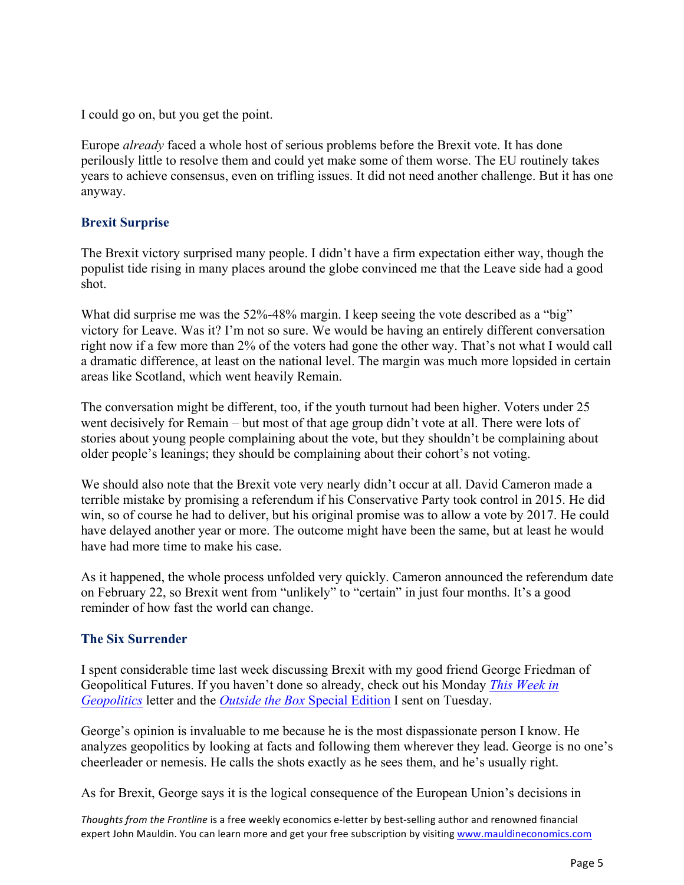I could go on, but you get the point.

Europe *already* faced a whole host of serious problems before the Brexit vote. It has done perilously little to resolve them and could yet make some of them worse. The EU routinely takes years to achieve consensus, even on trifling issues. It did not need another challenge. But it has one anyway.

#### **Brexit Surprise**

The Brexit victory surprised many people. I didn't have a firm expectation either way, though the populist tide rising in many places around the globe convinced me that the Leave side had a good shot.

What did surprise me was the 52%-48% margin. I keep seeing the vote described as a "big" victory for Leave. Was it? I'm not so sure. We would be having an entirely different conversation right now if a few more than 2% of the voters had gone the other way. That's not what I would call a dramatic difference, at least on the national level. The margin was much more lopsided in certain areas like Scotland, which went heavily Remain.

The conversation might be different, too, if the youth turnout had been higher. Voters under 25 went decisively for Remain – but most of that age group didn't vote at all. There were lots of stories about young people complaining about the vote, but they shouldn't be complaining about older people's leanings; they should be complaining about their cohort's not voting.

We should also note that the Brexit vote very nearly didn't occur at all. David Cameron made a terrible mistake by promising a referendum if his Conservative Party took control in 2015. He did win, so of course he had to deliver, but his original promise was to allow a vote by 2017. He could have delayed another year or more. The outcome might have been the same, but at least he would have had more time to make his case.

As it happened, the whole process unfolded very quickly. Cameron announced the referendum date on February 22, so Brexit went from "unlikely" to "certain" in just four months. It's a good reminder of how fast the world can change.

### **The Six Surrender**

I spent considerable time last week discussing Brexit with my good friend George Friedman of Geopolitical Futures. If you haven't done so already, check out his Monday *[This Week in](http://www.mauldineconomics.com/this-week-in-geopolitics/is-brexit-the-end-of-the-eu)  [Geopolitics](http://www.mauldineconomics.com/this-week-in-geopolitics/is-brexit-the-end-of-the-eu)* letter and the *[Outside the Box](http://www.mauldineconomics.com/outsidethebox/brexit-bombshell-eu-capitulates)* Special Edition I sent on Tuesday.

George's opinion is invaluable to me because he is the most dispassionate person I know. He analyzes geopolitics by looking at facts and following them wherever they lead. George is no one's cheerleader or nemesis. He calls the shots exactly as he sees them, and he's usually right.

As for Brexit, George says it is the logical consequence of the European Union's decisions in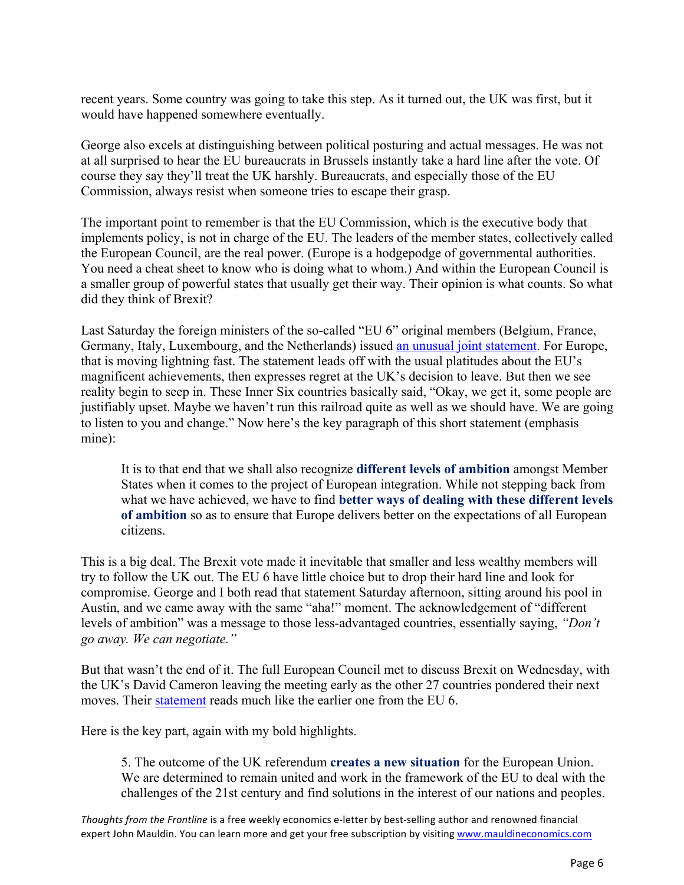recent years. Some country was going to take this step. As it turned out, the UK was first, but it would have happened somewhere eventually.

George also excels at distinguishing between political posturing and actual messages. He was not at all surprised to hear the EU bureaucrats in Brussels instantly take a hard line after the vote. Of course they say they'll treat the UK harshly. Bureaucrats, and especially those of the EU Commission, always resist when someone tries to escape their grasp.

The important point to remember is that the EU Commission, which is the executive body that implements policy, is not in charge of the EU. The leaders of the member states, collectively called the European Council, are the real power. (Europe is a hodgepodge of governmental authorities. You need a cheat sheet to know who is doing what to whom.) And within the European Council is a smaller group of powerful states that usually get their way. Their opinion is what counts. So what did they think of Brexit?

Last Saturday the foreign ministers of the so-called "EU 6" original members (Belgium, France, Germany, Italy, Luxembourg, and the Netherlands) issue[d an unusual joint statement.](http://www.diplomatie.gouv.fr/en/the-minister-and-the-ministers-of-state/jean-marc-ayrault/article/common-statement-by-the-foreign-ministers-of-belgium-france-germany-italy) For Europe, that is moving lightning fast. The statement leads off with the usual platitudes about the EU's magnificent achievements, then expresses regret at the UK's decision to leave. But then we see reality begin to seep in. These Inner Six countries basically said, "Okay, we get it, some people are justifiably upset. Maybe we haven't run this railroad quite as well as we should have. We are going to listen to you and change." Now here's the key paragraph of this short statement (emphasis mine):

It is to that end that we shall also recognize **different levels of ambition** amongst Member States when it comes to the project of European integration. While not stepping back from what we have achieved, we have to find **better ways of dealing with these different levels of ambition** so as to ensure that Europe delivers better on the expectations of all European citizens.

This is a big deal. The Brexit vote made it inevitable that smaller and less wealthy members will try to follow the UK out. The EU 6 have little choice but to drop their hard line and look for compromise. George and I both read that statement Saturday afternoon, sitting around his pool in Austin, and we came away with the same "aha!" moment. The acknowledgement of "different levels of ambition" was a message to those less-advantaged countries, essentially saying, *"Don't go away. We can negotiate."*

But that wasn't the end of it. The full European Council met to discuss Brexit on Wednesday, with the UK's David Cameron leaving the meeting early as the other 27 countries pondered their next moves. Their [statement](http://www.consilium.europa.eu/en/meetings/european-council/2016/06/29-27MS-informal-meeting-statement/) reads much like the earlier one from the EU 6.

Here is the key part, again with my bold highlights.

5. The outcome of the UK referendum **creates a new situation** for the European Union. We are determined to remain united and work in the framework of the EU to deal with the challenges of the 21st century and find solutions in the interest of our nations and peoples.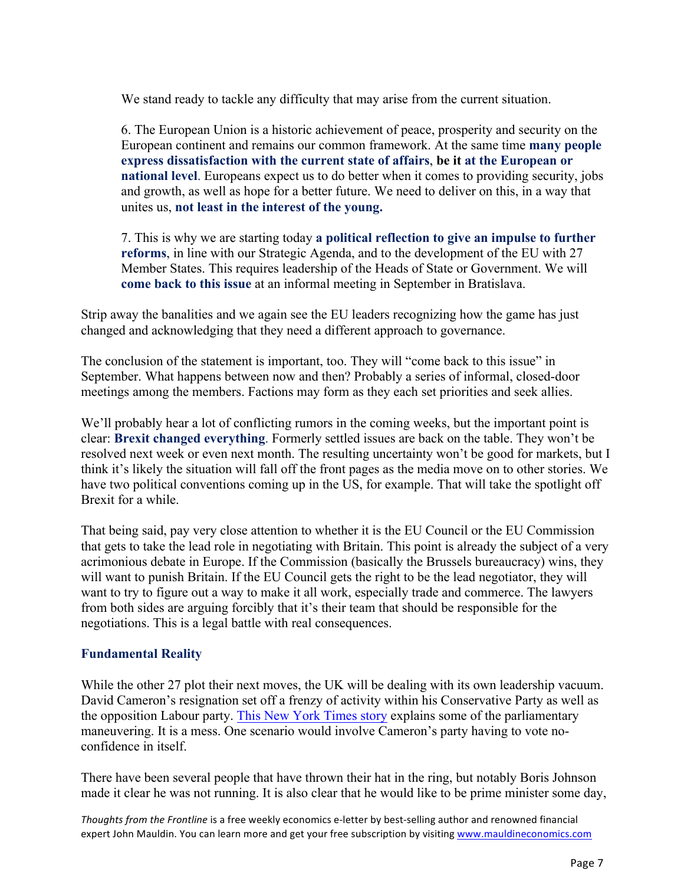We stand ready to tackle any difficulty that may arise from the current situation.

6. The European Union is a historic achievement of peace, prosperity and security on the European continent and remains our common framework. At the same time **many people express dissatisfaction with the current state of affairs**, **be it at the European or national level**. Europeans expect us to do better when it comes to providing security, jobs and growth, as well as hope for a better future. We need to deliver on this, in a way that unites us, **not least in the interest of the young.** 

7. This is why we are starting today **a political reflection to give an impulse to further reforms**, in line with our Strategic Agenda, and to the development of the EU with 27 Member States. This requires leadership of the Heads of State or Government. We will **come back to this issue** at an informal meeting in September in Bratislava.

Strip away the banalities and we again see the EU leaders recognizing how the game has just changed and acknowledging that they need a different approach to governance.

The conclusion of the statement is important, too. They will "come back to this issue" in September. What happens between now and then? Probably a series of informal, closed-door meetings among the members. Factions may form as they each set priorities and seek allies.

We'll probably hear a lot of conflicting rumors in the coming weeks, but the important point is clear: **Brexit changed everything**. Formerly settled issues are back on the table. They won't be resolved next week or even next month. The resulting uncertainty won't be good for markets, but I think it's likely the situation will fall off the front pages as the media move on to other stories. We have two political conventions coming up in the US, for example. That will take the spotlight off Brexit for a while.

That being said, pay very close attention to whether it is the EU Council or the EU Commission that gets to take the lead role in negotiating with Britain. This point is already the subject of a very acrimonious debate in Europe. If the Commission (basically the Brussels bureaucracy) wins, they will want to punish Britain. If the EU Council gets the right to be the lead negotiator, they will want to try to figure out a way to make it all work, especially trade and commerce. The lawyers from both sides are arguing forcibly that it's their team that should be responsible for the negotiations. This is a legal battle with real consequences.

### **Fundamental Reality**

While the other 27 plot their next moves, the UK will be dealing with its own leadership vacuum. David Cameron's resignation set off a frenzy of activity within his Conservative Party as well as the opposition Labour party. [This New York Times story](http://nyti.ms/292tvKC) explains some of the parliamentary maneuvering. It is a mess. One scenario would involve Cameron's party having to vote noconfidence in itself.

There have been several people that have thrown their hat in the ring, but notably Boris Johnson made it clear he was not running. It is also clear that he would like to be prime minister some day,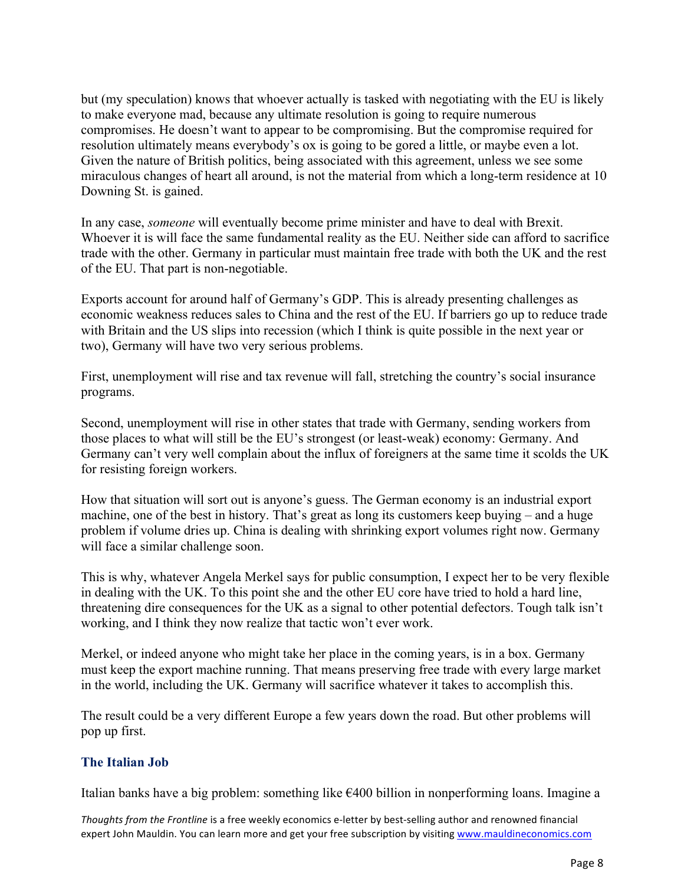but (my speculation) knows that whoever actually is tasked with negotiating with the EU is likely to make everyone mad, because any ultimate resolution is going to require numerous compromises. He doesn't want to appear to be compromising. But the compromise required for resolution ultimately means everybody's ox is going to be gored a little, or maybe even a lot. Given the nature of British politics, being associated with this agreement, unless we see some miraculous changes of heart all around, is not the material from which a long-term residence at 10 Downing St. is gained.

In any case, *someone* will eventually become prime minister and have to deal with Brexit. Whoever it is will face the same fundamental reality as the EU. Neither side can afford to sacrifice trade with the other. Germany in particular must maintain free trade with both the UK and the rest of the EU. That part is non-negotiable.

Exports account for around half of Germany's GDP. This is already presenting challenges as economic weakness reduces sales to China and the rest of the EU. If barriers go up to reduce trade with Britain and the US slips into recession (which I think is quite possible in the next year or two), Germany will have two very serious problems.

First, unemployment will rise and tax revenue will fall, stretching the country's social insurance programs.

Second, unemployment will rise in other states that trade with Germany, sending workers from those places to what will still be the EU's strongest (or least-weak) economy: Germany. And Germany can't very well complain about the influx of foreigners at the same time it scolds the UK for resisting foreign workers.

How that situation will sort out is anyone's guess. The German economy is an industrial export machine, one of the best in history. That's great as long its customers keep buying – and a huge problem if volume dries up. China is dealing with shrinking export volumes right now. Germany will face a similar challenge soon.

This is why, whatever Angela Merkel says for public consumption, I expect her to be very flexible in dealing with the UK. To this point she and the other EU core have tried to hold a hard line, threatening dire consequences for the UK as a signal to other potential defectors. Tough talk isn't working, and I think they now realize that tactic won't ever work.

Merkel, or indeed anyone who might take her place in the coming years, is in a box. Germany must keep the export machine running. That means preserving free trade with every large market in the world, including the UK. Germany will sacrifice whatever it takes to accomplish this.

The result could be a very different Europe a few years down the road. But other problems will pop up first.

### **The Italian Job**

Italian banks have a big problem: something like €400 billion in nonperforming loans. Imagine a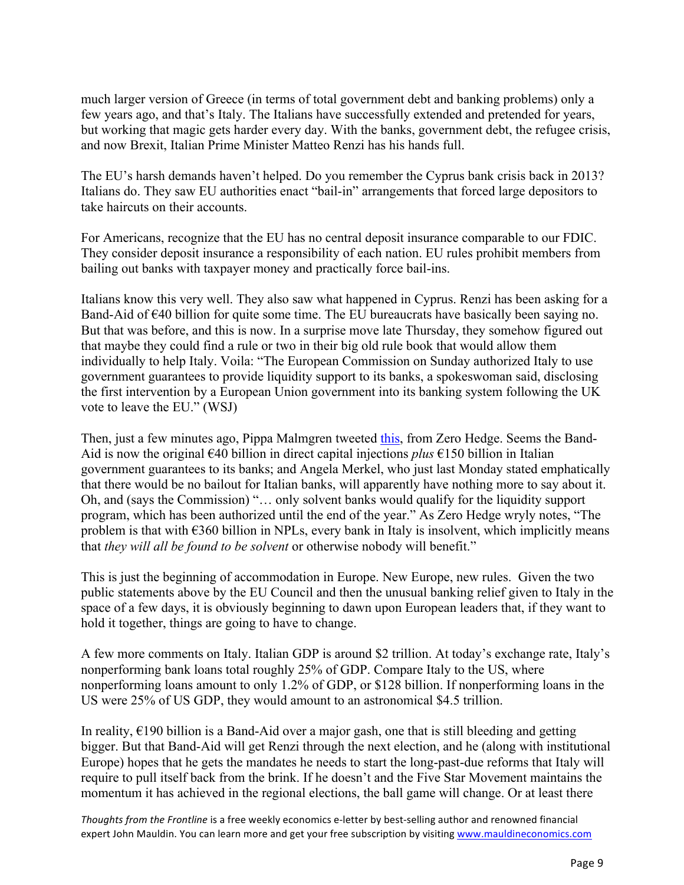much larger version of Greece (in terms of total government debt and banking problems) only a few years ago, and that's Italy. The Italians have successfully extended and pretended for years, but working that magic gets harder every day. With the banks, government debt, the refugee crisis, and now Brexit, Italian Prime Minister Matteo Renzi has his hands full.

The EU's harsh demands haven't helped. Do you remember the Cyprus bank crisis back in 2013? Italians do. They saw EU authorities enact "bail-in" arrangements that forced large depositors to take haircuts on their accounts.

For Americans, recognize that the EU has no central deposit insurance comparable to our FDIC. They consider deposit insurance a responsibility of each nation. EU rules prohibit members from bailing out banks with taxpayer money and practically force bail-ins.

Italians know this very well. They also saw what happened in Cyprus. Renzi has been asking for a Band-Aid of  $\epsilon$ 40 billion for quite some time. The EU bureaucrats have basically been saying no. But that was before, and this is now. In a surprise move late Thursday, they somehow figured out that maybe they could find a rule or two in their big old rule book that would allow them individually to help Italy. Voila: "The European Commission on Sunday authorized Italy to use government guarantees to provide liquidity support to its banks, a spokeswoman said, disclosing the first intervention by a European Union government into its banking system following the UK vote to leave the EU." (WSJ)

Then, just a few minutes ago, Pippa Malmgren tweeted [this,](https://twitter.com/drpippam/status/748654485065576448?refsrc=email&s=11) from Zero Hedge. Seems the Band-Aid is now the original €40 billion in direct capital injections *plus* €150 billion in Italian government guarantees to its banks; and Angela Merkel, who just last Monday stated emphatically that there would be no bailout for Italian banks, will apparently have nothing more to say about it. Oh, and (says the Commission) "… only solvent banks would qualify for the liquidity support program, which has been authorized until the end of the year." As Zero Hedge wryly notes, "The problem is that with  $\epsilon$ 360 billion in NPLs, every bank in Italy is insolvent, which implicitly means that *they will all be found to be solvent* or otherwise nobody will benefit."

This is just the beginning of accommodation in Europe. New Europe, new rules. Given the two public statements above by the EU Council and then the unusual banking relief given to Italy in the space of a few days, it is obviously beginning to dawn upon European leaders that, if they want to hold it together, things are going to have to change.

A few more comments on Italy. Italian GDP is around \$2 trillion. At today's exchange rate, Italy's nonperforming bank loans total roughly 25% of GDP. Compare Italy to the US, where nonperforming loans amount to only 1.2% of GDP, or \$128 billion. If nonperforming loans in the US were 25% of US GDP, they would amount to an astronomical \$4.5 trillion.

In reality,  $E190$  billion is a Band-Aid over a major gash, one that is still bleeding and getting bigger. But that Band-Aid will get Renzi through the next election, and he (along with institutional Europe) hopes that he gets the mandates he needs to start the long-past-due reforms that Italy will require to pull itself back from the brink. If he doesn't and the Five Star Movement maintains the momentum it has achieved in the regional elections, the ball game will change. Or at least there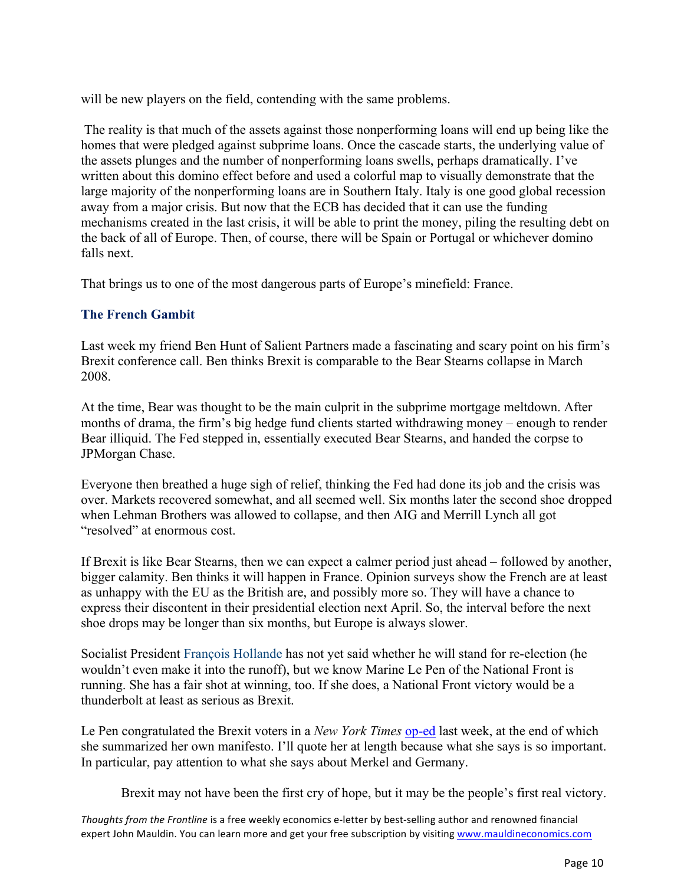will be new players on the field, contending with the same problems.

The reality is that much of the assets against those nonperforming loans will end up being like the homes that were pledged against subprime loans. Once the cascade starts, the underlying value of the assets plunges and the number of nonperforming loans swells, perhaps dramatically. I've written about this domino effect before and used a colorful map to visually demonstrate that the large majority of the nonperforming loans are in Southern Italy. Italy is one good global recession away from a major crisis. But now that the ECB has decided that it can use the funding mechanisms created in the last crisis, it will be able to print the money, piling the resulting debt on the back of all of Europe. Then, of course, there will be Spain or Portugal or whichever domino falls next.

That brings us to one of the most dangerous parts of Europe's minefield: France.

### **The French Gambit**

Last week my friend Ben Hunt of Salient Partners made a fascinating and scary point on his firm's Brexit conference call. Ben thinks Brexit is comparable to the Bear Stearns collapse in March 2008.

At the time, Bear was thought to be the main culprit in the subprime mortgage meltdown. After months of drama, the firm's big hedge fund clients started withdrawing money – enough to render Bear illiquid. The Fed stepped in, essentially executed Bear Stearns, and handed the corpse to JPMorgan Chase.

Everyone then breathed a huge sigh of relief, thinking the Fed had done its job and the crisis was over. Markets recovered somewhat, and all seemed well. Six months later the second shoe dropped when Lehman Brothers was allowed to collapse, and then AIG and Merrill Lynch all got "resolved" at enormous cost.

If Brexit is like Bear Stearns, then we can expect a calmer period just ahead – followed by another, bigger calamity. Ben thinks it will happen in France. Opinion surveys show the French are at least as unhappy with the EU as the British are, and possibly more so. They will have a chance to express their discontent in their presidential election next April. So, the interval before the next shoe drops may be longer than six months, but Europe is always slower.

Socialist President François Hollande has not yet said whether he will stand for re-election (he wouldn't even make it into the runoff), but we know Marine Le Pen of the National Front is running. She has a fair shot at winning, too. If she does, a National Front victory would be a thunderbolt at least as serious as Brexit.

Le Pen congratulated the Brexit voters in a *New York Times* [op-ed](http://nyti.ms/290gd22) last week, at the end of which she summarized her own manifesto. I'll quote her at length because what she says is so important. In particular, pay attention to what she says about Merkel and Germany.

Brexit may not have been the first cry of hope, but it may be the people's first real victory.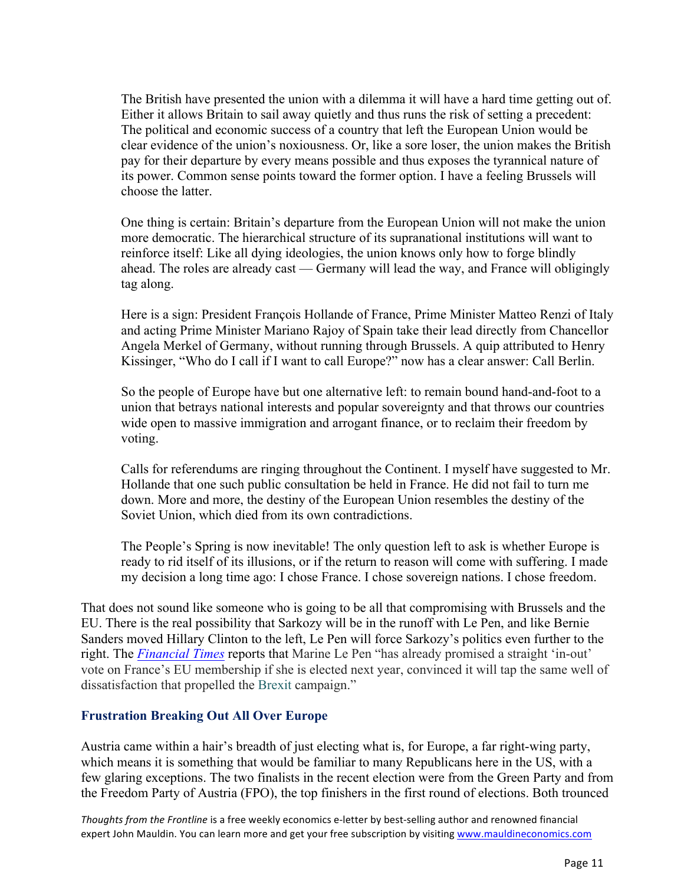The British have presented the union with a dilemma it will have a hard time getting out of. Either it allows Britain to sail away quietly and thus runs the risk of setting a precedent: The political and economic success of a country that left the European Union would be clear evidence of the union's noxiousness. Or, like a sore loser, the union makes the British pay for their departure by every means possible and thus exposes the tyrannical nature of its power. Common sense points toward the former option. I have a feeling Brussels will choose the latter.

One thing is certain: Britain's departure from the European Union will not make the union more democratic. The hierarchical structure of its supranational institutions will want to reinforce itself: Like all dying ideologies, the union knows only how to forge blindly ahead. The roles are already cast — Germany will lead the way, and France will obligingly tag along.

Here is a sign: President François Hollande of France, Prime Minister Matteo Renzi of Italy and acting Prime Minister Mariano Rajoy of Spain take their lead directly from Chancellor Angela Merkel of Germany, without running through Brussels. A quip attributed to Henry Kissinger, "Who do I call if I want to call Europe?" now has a clear answer: Call Berlin.

So the people of Europe have but one alternative left: to remain bound hand-and-foot to a union that betrays national interests and popular sovereignty and that throws our countries wide open to massive immigration and arrogant finance, or to reclaim their freedom by voting.

Calls for referendums are ringing throughout the Continent. I myself have suggested to Mr. Hollande that one such public consultation be held in France. He did not fail to turn me down. More and more, the destiny of the European Union resembles the destiny of the Soviet Union, which died from its own contradictions.

The People's Spring is now inevitable! The only question left to ask is whether Europe is ready to rid itself of its illusions, or if the return to reason will come with suffering. I made my decision a long time ago: I chose France. I chose sovereign nations. I chose freedom.

That does not sound like someone who is going to be all that compromising with Brussels and the EU. There is the real possibility that Sarkozy will be in the runoff with Le Pen, and like Bernie Sanders moved Hillary Clinton to the left, Le Pen will force Sarkozy's politics even further to the right. The *[Financial Times](https://next.ft.com/content/462ff6e0-3b80-11e6-8716-a4a71e8140b0)* reports that Marine Le Pen "has already promised a straight 'in-out' vote on France's EU membership if she is elected next year, convinced it will tap the same well of dissatisfaction that propelled the Brexit campaign."

### **Frustration Breaking Out All Over Europe**

Austria came within a hair's breadth of just electing what is, for Europe, a far right-wing party, which means it is something that would be familiar to many Republicans here in the US, with a few glaring exceptions. The two finalists in the recent election were from the Green Party and from the Freedom Party of Austria (FPO), the top finishers in the first round of elections. Both trounced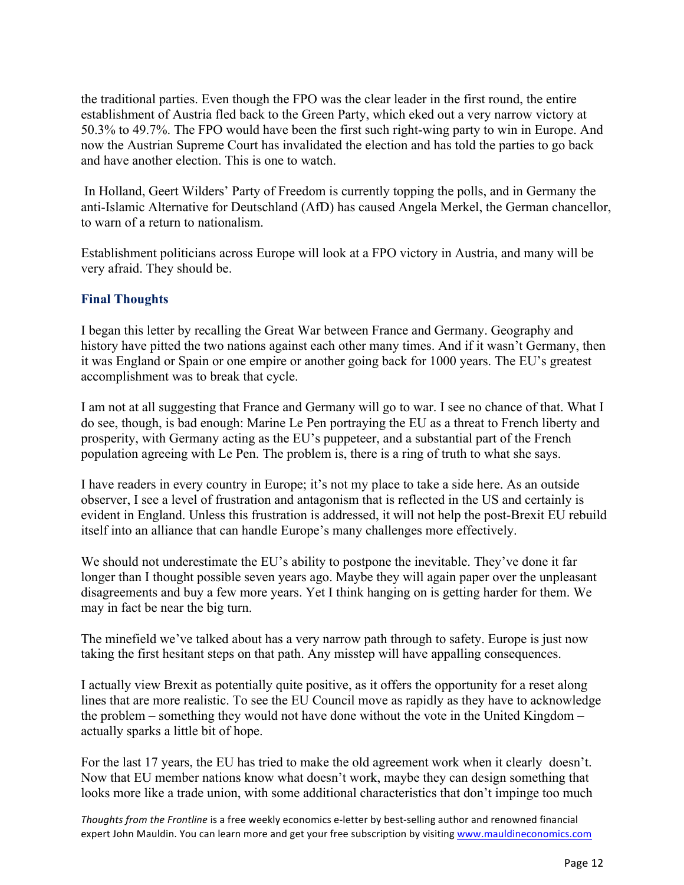the traditional parties. Even though the FPO was the clear leader in the first round, the entire establishment of Austria fled back to the Green Party, which eked out a very narrow victory at 50.3% to 49.7%. The FPO would have been the first such right-wing party to win in Europe. And now the Austrian Supreme Court has invalidated the election and has told the parties to go back and have another election. This is one to watch.

In Holland, Geert Wilders' Party of Freedom is currently topping the polls, and in Germany the anti-Islamic Alternative for Deutschland (AfD) has caused Angela Merkel, the German chancellor, to warn of a return to nationalism.

Establishment politicians across Europe will look at a FPO victory in Austria, and many will be very afraid. They should be.

### **Final Thoughts**

I began this letter by recalling the Great War between France and Germany. Geography and history have pitted the two nations against each other many times. And if it wasn't Germany, then it was England or Spain or one empire or another going back for 1000 years. The EU's greatest accomplishment was to break that cycle.

I am not at all suggesting that France and Germany will go to war. I see no chance of that. What I do see, though, is bad enough: Marine Le Pen portraying the EU as a threat to French liberty and prosperity, with Germany acting as the EU's puppeteer, and a substantial part of the French population agreeing with Le Pen. The problem is, there is a ring of truth to what she says.

I have readers in every country in Europe; it's not my place to take a side here. As an outside observer, I see a level of frustration and antagonism that is reflected in the US and certainly is evident in England. Unless this frustration is addressed, it will not help the post-Brexit EU rebuild itself into an alliance that can handle Europe's many challenges more effectively.

We should not underestimate the EU's ability to postpone the inevitable. They've done it far longer than I thought possible seven years ago. Maybe they will again paper over the unpleasant disagreements and buy a few more years. Yet I think hanging on is getting harder for them. We may in fact be near the big turn.

The minefield we've talked about has a very narrow path through to safety. Europe is just now taking the first hesitant steps on that path. Any misstep will have appalling consequences.

I actually view Brexit as potentially quite positive, as it offers the opportunity for a reset along lines that are more realistic. To see the EU Council move as rapidly as they have to acknowledge the problem – something they would not have done without the vote in the United Kingdom – actually sparks a little bit of hope.

For the last 17 years, the EU has tried to make the old agreement work when it clearly doesn't. Now that EU member nations know what doesn't work, maybe they can design something that looks more like a trade union, with some additional characteristics that don't impinge too much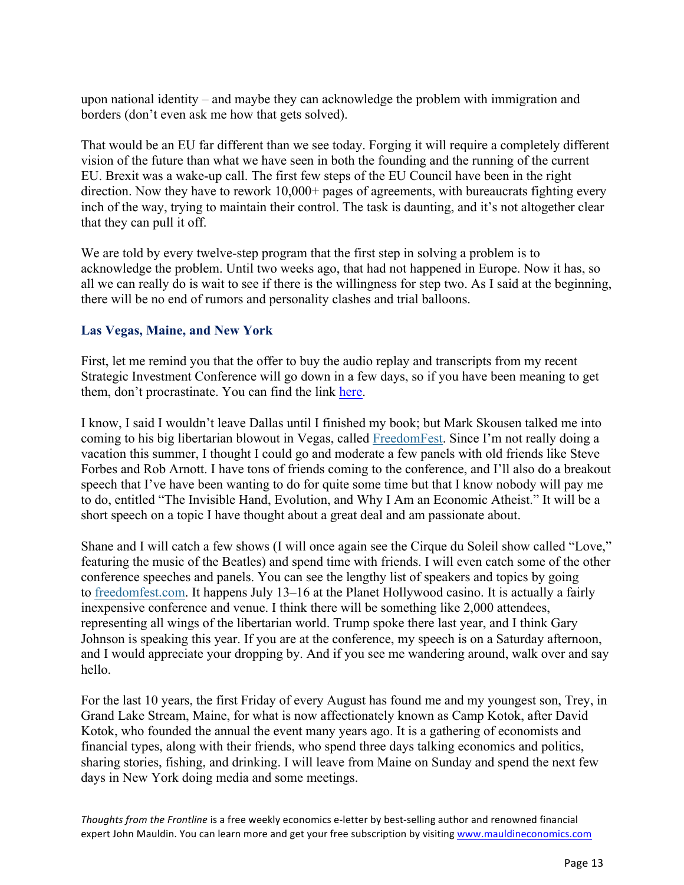upon national identity – and maybe they can acknowledge the problem with immigration and borders (don't even ask me how that gets solved).

That would be an EU far different than we see today. Forging it will require a completely different vision of the future than what we have seen in both the founding and the running of the current EU. Brexit was a wake-up call. The first few steps of the EU Council have been in the right direction. Now they have to rework 10,000+ pages of agreements, with bureaucrats fighting every inch of the way, trying to maintain their control. The task is daunting, and it's not altogether clear that they can pull it off.

We are told by every twelve-step program that the first step in solving a problem is to acknowledge the problem. Until two weeks ago, that had not happened in Europe. Now it has, so all we can really do is wait to see if there is the willingness for step two. As I said at the beginning, there will be no end of rumors and personality clashes and trial balloons.

### **Las Vegas, Maine, and New York**

First, let me remind you that the offer to buy the audio replay and transcripts from my recent Strategic Investment Conference will go down in a few days, so if you have been meaning to get them, don't procrastinate. You can find the link [here.](http://www.mauldineconomics.com/go/utswv-2/MEC/?utm_medium=email&utm_source=TFTF&utm_campaign=SIC&utm_content=email) 

I know, I said I wouldn't leave Dallas until I finished my book; but Mark Skousen talked me into coming to his big libertarian blowout in Vegas, called [FreedomFest.](http://www.freedomfest.com/) Since I'm not really doing a vacation this summer, I thought I could go and moderate a few panels with old friends like Steve Forbes and Rob Arnott. I have tons of friends coming to the conference, and I'll also do a breakout speech that I've have been wanting to do for quite some time but that I know nobody will pay me to do, entitled "The Invisible Hand, Evolution, and Why I Am an Economic Atheist." It will be a short speech on a topic I have thought about a great deal and am passionate about.

Shane and I will catch a few shows (I will once again see the Cirque du Soleil show called "Love," featuring the music of the Beatles) and spend time with friends. I will even catch some of the other conference speeches and panels. You can see the lengthy list of speakers and topics by going to [freedomfest.com.](http://www.freedomfest.com/) It happens July 13–16 at the Planet Hollywood casino. It is actually a fairly inexpensive conference and venue. I think there will be something like 2,000 attendees, representing all wings of the libertarian world. Trump spoke there last year, and I think Gary Johnson is speaking this year. If you are at the conference, my speech is on a Saturday afternoon, and I would appreciate your dropping by. And if you see me wandering around, walk over and say hello.

For the last 10 years, the first Friday of every August has found me and my youngest son, Trey, in Grand Lake Stream, Maine, for what is now affectionately known as Camp Kotok, after David Kotok, who founded the annual the event many years ago. It is a gathering of economists and financial types, along with their friends, who spend three days talking economics and politics, sharing stories, fishing, and drinking. I will leave from Maine on Sunday and spend the next few days in New York doing media and some meetings.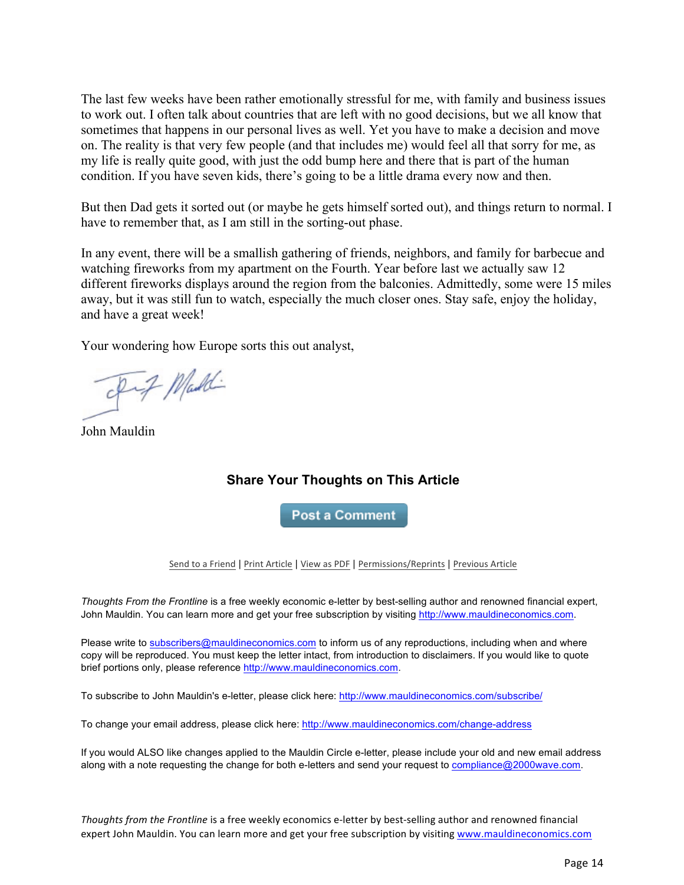The last few weeks have been rather emotionally stressful for me, with family and business issues to work out. I often talk about countries that are left with no good decisions, but we all know that sometimes that happens in our personal lives as well. Yet you have to make a decision and move on. The reality is that very few people (and that includes me) would feel all that sorry for me, as my life is really quite good, with just the odd bump here and there that is part of the human condition. If you have seven kids, there's going to be a little drama every now and then.

But then Dad gets it sorted out (or maybe he gets himself sorted out), and things return to normal. I have to remember that, as I am still in the sorting-out phase.

In any event, there will be a smallish gathering of friends, neighbors, and family for barbecue and watching fireworks from my apartment on the Fourth. Year before last we actually saw 12 different fireworks displays around the region from the balconies. Admittedly, some were 15 miles away, but it was still fun to watch, especially the much closer ones. Stay safe, enjoy the holiday, and have a great week!

Your wondering how Europe sorts this out analyst,

Fif Maddi

John Mauldin

### **Share Your Thoughts on This Article**

**Post a Comment** 

Send to a Friend | Print Article | View as PDF | Permissions/Reprints | Previous Article

*Thoughts From the Frontline* is a free weekly economic e-letter by best-selling author and renowned financial expert, John Mauldin. You can learn more and get your free subscription by visiting http://www.mauldineconomics.com.

Please write to subscribers@mauldineconomics.com to inform us of any reproductions, including when and where copy will be reproduced. You must keep the letter intact, from introduction to disclaimers. If you would like to quote brief portions only, please reference http://www.mauldineconomics.com.

To subscribe to John Mauldin's e-letter, please click here: http://www.mauldineconomics.com/subscribe/

To change your email address, please click here: http://www.mauldineconomics.com/change-address

If you would ALSO like changes applied to the Mauldin Circle e-letter, please include your old and new email address along with a note requesting the change for both e-letters and send your request to compliance@2000wave.com.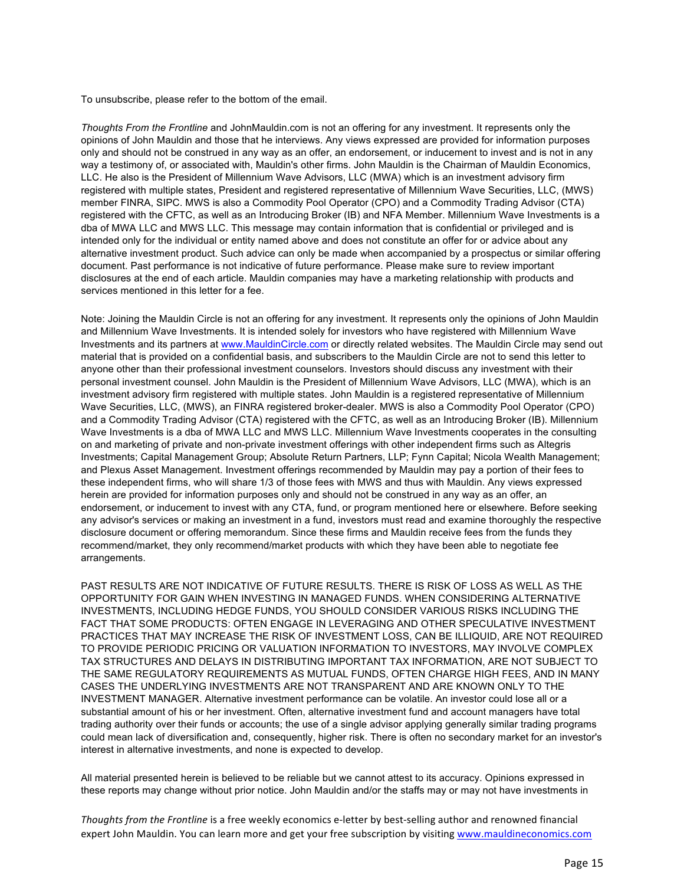To unsubscribe, please refer to the bottom of the email.

*Thoughts From the Frontline* and JohnMauldin.com is not an offering for any investment. It represents only the opinions of John Mauldin and those that he interviews. Any views expressed are provided for information purposes only and should not be construed in any way as an offer, an endorsement, or inducement to invest and is not in any way a testimony of, or associated with, Mauldin's other firms. John Mauldin is the Chairman of Mauldin Economics, LLC. He also is the President of Millennium Wave Advisors, LLC (MWA) which is an investment advisory firm registered with multiple states, President and registered representative of Millennium Wave Securities, LLC, (MWS) member FINRA, SIPC. MWS is also a Commodity Pool Operator (CPO) and a Commodity Trading Advisor (CTA) registered with the CFTC, as well as an Introducing Broker (IB) and NFA Member. Millennium Wave Investments is a dba of MWA LLC and MWS LLC. This message may contain information that is confidential or privileged and is intended only for the individual or entity named above and does not constitute an offer for or advice about any alternative investment product. Such advice can only be made when accompanied by a prospectus or similar offering document. Past performance is not indicative of future performance. Please make sure to review important disclosures at the end of each article. Mauldin companies may have a marketing relationship with products and services mentioned in this letter for a fee.

Note: Joining the Mauldin Circle is not an offering for any investment. It represents only the opinions of John Mauldin and Millennium Wave Investments. It is intended solely for investors who have registered with Millennium Wave Investments and its partners at www.MauldinCircle.com or directly related websites. The Mauldin Circle may send out material that is provided on a confidential basis, and subscribers to the Mauldin Circle are not to send this letter to anyone other than their professional investment counselors. Investors should discuss any investment with their personal investment counsel. John Mauldin is the President of Millennium Wave Advisors, LLC (MWA), which is an investment advisory firm registered with multiple states. John Mauldin is a registered representative of Millennium Wave Securities, LLC, (MWS), an FINRA registered broker-dealer. MWS is also a Commodity Pool Operator (CPO) and a Commodity Trading Advisor (CTA) registered with the CFTC, as well as an Introducing Broker (IB). Millennium Wave Investments is a dba of MWA LLC and MWS LLC. Millennium Wave Investments cooperates in the consulting on and marketing of private and non-private investment offerings with other independent firms such as Altegris Investments; Capital Management Group; Absolute Return Partners, LLP; Fynn Capital; Nicola Wealth Management; and Plexus Asset Management. Investment offerings recommended by Mauldin may pay a portion of their fees to these independent firms, who will share 1/3 of those fees with MWS and thus with Mauldin. Any views expressed herein are provided for information purposes only and should not be construed in any way as an offer, an endorsement, or inducement to invest with any CTA, fund, or program mentioned here or elsewhere. Before seeking any advisor's services or making an investment in a fund, investors must read and examine thoroughly the respective disclosure document or offering memorandum. Since these firms and Mauldin receive fees from the funds they recommend/market, they only recommend/market products with which they have been able to negotiate fee arrangements.

PAST RESULTS ARE NOT INDICATIVE OF FUTURE RESULTS. THERE IS RISK OF LOSS AS WELL AS THE OPPORTUNITY FOR GAIN WHEN INVESTING IN MANAGED FUNDS. WHEN CONSIDERING ALTERNATIVE INVESTMENTS, INCLUDING HEDGE FUNDS, YOU SHOULD CONSIDER VARIOUS RISKS INCLUDING THE FACT THAT SOME PRODUCTS: OFTEN ENGAGE IN LEVERAGING AND OTHER SPECULATIVE INVESTMENT PRACTICES THAT MAY INCREASE THE RISK OF INVESTMENT LOSS, CAN BE ILLIQUID, ARE NOT REQUIRED TO PROVIDE PERIODIC PRICING OR VALUATION INFORMATION TO INVESTORS, MAY INVOLVE COMPLEX TAX STRUCTURES AND DELAYS IN DISTRIBUTING IMPORTANT TAX INFORMATION, ARE NOT SUBJECT TO THE SAME REGULATORY REQUIREMENTS AS MUTUAL FUNDS, OFTEN CHARGE HIGH FEES, AND IN MANY CASES THE UNDERLYING INVESTMENTS ARE NOT TRANSPARENT AND ARE KNOWN ONLY TO THE INVESTMENT MANAGER. Alternative investment performance can be volatile. An investor could lose all or a substantial amount of his or her investment. Often, alternative investment fund and account managers have total trading authority over their funds or accounts; the use of a single advisor applying generally similar trading programs could mean lack of diversification and, consequently, higher risk. There is often no secondary market for an investor's interest in alternative investments, and none is expected to develop.

All material presented herein is believed to be reliable but we cannot attest to its accuracy. Opinions expressed in these reports may change without prior notice. John Mauldin and/or the staffs may or may not have investments in